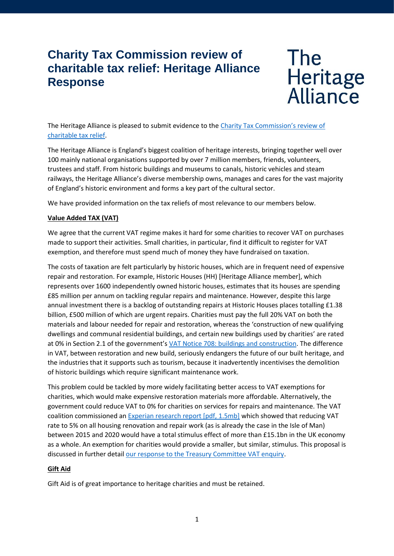# **Charity Tax Commission review of charitable tax relief: Heritage Alliance Response**

# The Heritage<br>Alliance

The Heritage Alliance is pleased to submit evidence to the [Charity Tax Commission's review of](https://www.ncvo.org.uk/policy-and-research/funding/tax-and-reliefs/charity-tax-commission/call-for-evidence)  [charitable tax relief.](https://www.ncvo.org.uk/policy-and-research/funding/tax-and-reliefs/charity-tax-commission/call-for-evidence)

The Heritage Alliance is England's biggest coalition of heritage interests, bringing together well over 100 mainly national organisations supported by over 7 million members, friends, volunteers, trustees and staff. From historic buildings and museums to canals, historic vehicles and steam railways, the Heritage Alliance's diverse membership owns, manages and cares for the vast majority of England's historic environment and forms a key part of the cultural sector.

We have provided information on the tax reliefs of most relevance to our members below.

## **Value Added TAX (VAT)**

We agree that the current VAT regime makes it hard for some charities to recover VAT on purchases made to support their activities. Small charities, in particular, find it difficult to register for VAT exemption, and therefore must spend much of money they have fundraised on taxation.

The costs of taxation are felt particularly by historic houses, which are in frequent need of expensive repair and restoration. For example, Historic Houses (HH) [Heritage Alliance member], which represents over 1600 independently owned historic houses, estimates that its houses are spending £85 million per annum on tackling regular repairs and maintenance. However, despite this large annual investment there is a backlog of outstanding repairs at Historic Houses places totalling £1.38 billion, £500 million of which are urgent repairs. Charities must pay the full 20% VAT on both the materials and labour needed for repair and restoration, whereas the 'construction of new qualifying dwellings and communal residential buildings, and certain new buildings used by charities' are rated at 0% in Section 2.1 of the government's [VAT Notice 708: buildings and construction.](https://www.gov.uk/government/publications/vat-notice-708-buildings-and-construction/vat-notice-708-buildings-and-construction#vat-liability) The difference in VAT, between restoration and new build, seriously endangers the future of our built heritage, and the industries that it supports such as tourism, because it inadvertently incentivises the demolition of historic buildings which require significant maintenance work.

This problem could be tackled by more widely facilitating better access to VAT exemptions for charities, which would make expensive restoration materials more affordable. Alternatively, the government could reduce VAT to 0% for charities on services for repairs and maintenance. The VAT coalition commissioned a[n Experian research report \[pdf, 1.5mb\]](http://resources.fmb.org.uk/docs/VATResearchFinal.pdf) which showed that reducing VAT rate to 5% on all housing renovation and repair work (as is already the case in the Isle of Man) between 2015 and 2020 would have a total stimulus effect of more than £15.1bn in the UK economy as a whole. An exemption for charities would provide a smaller, but similar, stimulus. This proposal is discussed in further detail [our response to the Treasury Committee VAT enquiry.](http://www.theheritagealliance.org.uk/tha-website/wp-content/uploads/2018/05/VAT-inquiry.pdf)

#### **Gift Aid**

Gift Aid is of great importance to heritage charities and must be retained.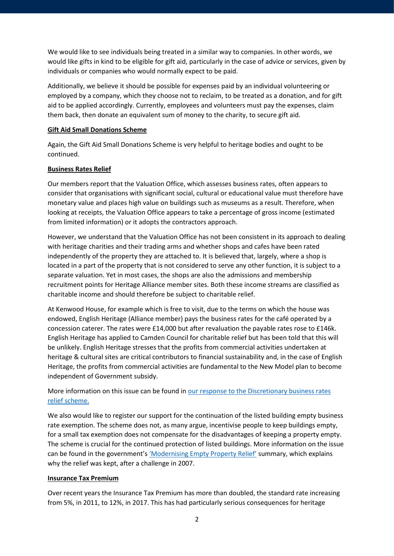We would like to see individuals being treated in a similar way to companies. In other words, we would like gifts in kind to be eligible for gift aid, particularly in the case of advice or services, given by individuals or companies who would normally expect to be paid.

Additionally, we believe it should be possible for expenses paid by an individual volunteering or employed by a company, which they choose not to reclaim, to be treated as a donation, and for gift aid to be applied accordingly. Currently, employees and volunteers must pay the expenses, claim them back, then donate an equivalent sum of money to the charity, to secure gift aid.

#### **Gift Aid Small Donations Scheme**

Again, the Gift Aid Small Donations Scheme is very helpful to heritage bodies and ought to be continued.

#### **Business Rates Relief**

Our members report that the Valuation Office, which assesses business rates, often appears to consider that organisations with significant social, cultural or educational value must therefore have monetary value and places high value on buildings such as museums as a result. Therefore, when looking at receipts, the Valuation Office appears to take a percentage of gross income (estimated from limited information) or it adopts the contractors approach.

However, we understand that the Valuation Office has not been consistent in its approach to dealing with heritage charities and their trading arms and whether shops and cafes have been rated independently of the property they are attached to. It is believed that, largely, where a shop is located in a part of the property that is not considered to serve any other function, it is subject to a separate valuation. Yet in most cases, the shops are also the admissions and membership recruitment points for Heritage Alliance member sites. Both these income streams are classified as charitable income and should therefore be subject to charitable relief.

At Kenwood House, for example which is free to visit, due to the terms on which the house was endowed, English Heritage (Alliance member) pays the business rates for the café operated by a concession caterer. The rates were £14,000 but after revaluation the payable rates rose to £146k. English Heritage has applied to Camden Council for charitable relief but has been told that this will be unlikely. English Heritage stresses that the profits from commercial activities undertaken at heritage & cultural sites are critical contributors to financial sustainability and, in the case of English Heritage, the profits from commercial activities are fundamental to the New Model plan to become independent of Government subsidy.

# More information on this issue can be found in our response to the Discretionary business rates relief [scheme.](http://www.theheritagealliance.org.uk/tha-website/wp-content/uploads/2017/04/Heritage-Alliance-business-rates-consultation-response-1.pdf)

We also would like to register our support for the continuation of the listed building empty business rate exemption. The scheme does not, as many argue, incentivise people to keep buildings empty, for a small tax exemption does not compensate for the disadvantages of keeping a property empty. The scheme is crucial for the continued protection of listed buildings. More information on the issue can be found in the government's ['Modernising Empty Property Relief'](http://webarchive.nationalarchives.gov.uk/20080305202122/http:/www.communities.gov.uk/documents/localgovernment/pdf/emptypropertyrelief) summary, which explains why the relief was kept, after a challenge in 2007.

#### **Insurance Tax Premium**

Over recent years the Insurance Tax Premium has more than doubled, the standard rate increasing from 5%, in 2011, to 12%, in 2017. This has had particularly serious consequences for heritage